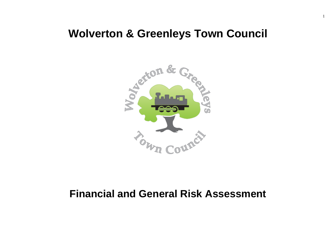# **Wolverton & Greenleys Town Council**



# **Financial and General Risk Assessment**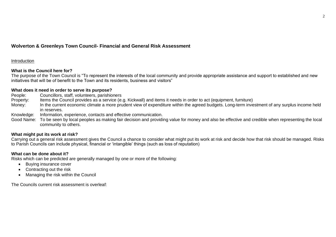# **Wolverton & Greenleys Town Council- Financial and General Risk Assessment**

#### **Introduction**

### **What is the Council here for?**

The purpose of the Town Council is "To represent the interests of the local community and provide appropriate assistance and support to established and new initiatives that will be of benefit to the Town and its residents, business and visitors"

#### **What does it need in order to serve its purpose?**

People: Councillors, staff, volunteers, parishioners Property: Items the Council provides as a service (e.g. Kickwall) and items it needs in order to act (equipment, furniture) Money: In the current economic climate a more prudent view of expenditure within the agreed budgets. Long-term investment of any surplus income held in reserves. Knowledge: Information, experience, contacts and effective communication.

Good Name: To be seen by local peoples as making fair decision and providing value for money and also be effective and credible when representing the local community to others.

## **What might put its work at risk?**

Carrying out a general risk assessment gives the Council a chance to consider what might put its work at risk and decide how that risk should be managed. Risks to Parish Councils can include physical, financial or 'intangible' things (such as loss of reputation)

### **What can be done about it?**

Risks which can be predicted are generally managed by one or more of the following:

- Buying insurance cover
- Contracting out the risk
- Managing the risk within the Council

The Councils current risk assessment is overleaf: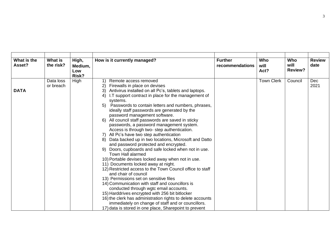| What is the<br>Asset? | What is<br>the risk?   | High,<br>Medium,<br>Low<br>Risk? | How is it currently managed?                                                                                                                                                                                                                                                                                                                                                                                                                                                                                                                                                                                                                                                                                                                                                                                                                                                                                                                                                                                                                                                                                                                                                                                                                                                                       | <b>Further</b><br>recommendations | Who<br>will<br>Act? | Who<br>will<br>Review? | <b>Review</b><br>date |
|-----------------------|------------------------|----------------------------------|----------------------------------------------------------------------------------------------------------------------------------------------------------------------------------------------------------------------------------------------------------------------------------------------------------------------------------------------------------------------------------------------------------------------------------------------------------------------------------------------------------------------------------------------------------------------------------------------------------------------------------------------------------------------------------------------------------------------------------------------------------------------------------------------------------------------------------------------------------------------------------------------------------------------------------------------------------------------------------------------------------------------------------------------------------------------------------------------------------------------------------------------------------------------------------------------------------------------------------------------------------------------------------------------------|-----------------------------------|---------------------|------------------------|-----------------------|
| <b>DATA</b>           | Data loss<br>or breach | High                             | Remote access removed<br>$\mathbf{2}$<br>Firewalls in place on devises<br>Antivirus installed on all Pc's, tablets and laptops.<br>3)<br>I.T support contract in place for the management of<br>4)<br>systems.<br>Passwords to contain letters and numbers, phrases,<br>5)<br>ideally staff passwords are generated by the<br>password management software.<br>All council staff passwords are saved in sticky<br>passwords, a password management system.<br>Access is through two- step authentication.<br>All Pc's have two step authentication<br>7)<br>Data backed up in two locations, Microsoft and Datto<br>and password protected and encrypted.<br>Doors, cupboards and safe locked when not in use.<br>9)<br>Town Hall alarmed<br>10) Portable devises locked away when not in use.<br>11) Documents locked away at night.<br>12) Restricted access to the Town Council office to staff<br>and chair of council<br>13) Permissions set on sensitive files<br>14) Communication with staff and councillors is<br>conducted through wgtc email accounts.<br>15) Harddrives encrypted with 256 bit bitlocker<br>16) the clerk has administration rights to delete accounts<br>immediately on change of staff and or councillors.<br>17) data is stored in one place, Sharepoint to prevent |                                   | <b>Town Clerk</b>   | Council                | <b>Dec</b><br>2021    |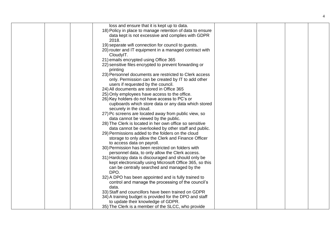| loss and ensure that it is kept up to data.                                                                    |  |  |
|----------------------------------------------------------------------------------------------------------------|--|--|
| 18) Policy in place to manage retention of data to ensure                                                      |  |  |
| data kept is not excessive and complies with GDPR                                                              |  |  |
| 2018.                                                                                                          |  |  |
| 19) separate wifi connection for council to guests.                                                            |  |  |
| 20) router and IT equipment in a managed contract with                                                         |  |  |
| CloudyIT.                                                                                                      |  |  |
| 21) emails encrypted using Office 365                                                                          |  |  |
| 22) sensitive files encrypted to prevent forwarding or                                                         |  |  |
| printing                                                                                                       |  |  |
| 23) Personnel documents are restricted to Clerk access                                                         |  |  |
| only. Permission can be created by IT to add other                                                             |  |  |
| users if requested by the council.                                                                             |  |  |
| 24) All documents are stored in Office 365                                                                     |  |  |
| 25) Only employees have access to the office.                                                                  |  |  |
| 26) Key holders do not have access to PC's or                                                                  |  |  |
| cupboards which store data or any data which stored                                                            |  |  |
| securely in the cloud.                                                                                         |  |  |
| 27) Pc screens are located away from public view, so                                                           |  |  |
| data cannot be viewed by the public.                                                                           |  |  |
| 28) The Clerk is located in her own office so sensitive                                                        |  |  |
| data cannot be overlooked by other staff and public.                                                           |  |  |
| 29) Permissions added to the folders on the cloud                                                              |  |  |
| storage to only allow the Clerk and Finance Officer                                                            |  |  |
| to access data on payroll.                                                                                     |  |  |
| 30) Permission has been restricted on folders with                                                             |  |  |
| personnel data, to only allow the Clerk access.                                                                |  |  |
| 31) Hardcopy data is discouraged and should only be<br>kept electronically using Microsoft Office 365, so this |  |  |
| can be centrally searched and managed by the                                                                   |  |  |
| DPO.                                                                                                           |  |  |
| 32) A DPO has been appointed and is fully trained to                                                           |  |  |
| control and manage the processing of the council's                                                             |  |  |
| data.                                                                                                          |  |  |
| 33) Staff and councillors have been trained on GDPR                                                            |  |  |
| 34) A training budget is provided for the DPO and staff                                                        |  |  |
| to update their knowledge of GDPR.                                                                             |  |  |
| 35) The Clerk is a member of the SLCC, who provide                                                             |  |  |
|                                                                                                                |  |  |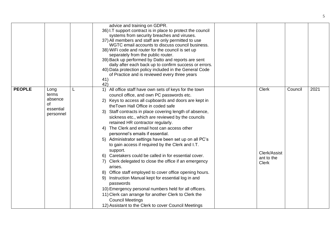|               |                                                                 |   | advice and training on GDPR.<br>36) I.T support contract is in place to protect the council<br>systems from security breaches and viruses.<br>37) All members and staff are only permitted to use<br>WGTC email accounts to discuss council business.<br>38) WiFi code and router for the council is set up<br>separately from the public router.<br>39) Back up performed by Datto and reports are sent<br>daily after each back up to confirm success or errors.<br>40) Data protection policy included in the General Code<br>of Practice and is reviewed every three years<br>41)<br>42)                                                                                                                                                                                                                                                                                                                                                                                                                                                           |                                                            |         |      |
|---------------|-----------------------------------------------------------------|---|--------------------------------------------------------------------------------------------------------------------------------------------------------------------------------------------------------------------------------------------------------------------------------------------------------------------------------------------------------------------------------------------------------------------------------------------------------------------------------------------------------------------------------------------------------------------------------------------------------------------------------------------------------------------------------------------------------------------------------------------------------------------------------------------------------------------------------------------------------------------------------------------------------------------------------------------------------------------------------------------------------------------------------------------------------|------------------------------------------------------------|---------|------|
| <b>PEOPLE</b> | Long<br>terms<br>absence<br><b>of</b><br>essential<br>personnel | L | All office staff have own sets of keys for the town<br>1)<br>council office, and own PC passwords etc.<br>2) Keys to access all cupboards and doors are kept in<br>the Town Hall Office in coded safe<br>3) Staff contracts in place covering length of absence,<br>sickness etc., which are reviewed by the councils<br>retained HR contractor regularly.<br>4) The Clerk and email host can access other<br>personnel's emails if essential.<br>Administrator settings have been set up on all PC's<br>5)<br>to gain access if required by the Clerk and I.T.<br>support.<br>6) Caretakers could be called in for essential cover.<br>Clerk delegated to close the office if an emergency<br>7)<br>arises.<br>Office staff employed to cover office opening hours.<br>8)<br>Instruction Manual kept for essential log in and<br>-9)<br>passwords<br>10) Emergency personal numbers held for all officers.<br>11) Clerk can arrange for another Clerk to Clerk the<br><b>Council Meetings</b><br>12) Assistant to the Clerk to cover Council Meetings | <b>Clerk</b><br>Clerk/Assist<br>ant to the<br><b>Clerk</b> | Council | 2021 |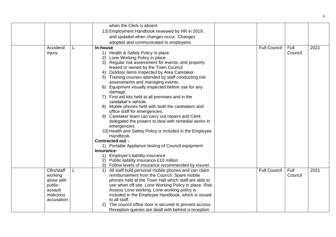|  |                      |   | when the Clerk is absent                                                            |                     |         |      |
|--|----------------------|---|-------------------------------------------------------------------------------------|---------------------|---------|------|
|  |                      |   | 13) Employment Handbook reviewed by HR in 2019,                                     |                     |         |      |
|  |                      |   | and updated when changes occur. Changes                                             |                     |         |      |
|  |                      |   | adopted and communicated to employees.                                              |                     |         |      |
|  | Accident/            | L | In-house                                                                            | <b>Full Council</b> | Full    | 2021 |
|  | injury               |   | 1) Health & Safety Policy in place                                                  |                     | Council |      |
|  |                      |   | Lone Working Policy in place<br>2)                                                  |                     |         |      |
|  |                      |   | Regular risk assessment for events, and property<br>3)                              |                     |         |      |
|  |                      |   | leased or owned by the Town Council.                                                |                     |         |      |
|  |                      |   | Outdoor items inspected by Area Caretaker.<br>4)                                    |                     |         |      |
|  |                      |   | Training courses attended by staff conducting risk<br>5)                            |                     |         |      |
|  |                      |   | assessments and managing events.                                                    |                     |         |      |
|  |                      |   | 6) Equipment visually inspected before use for any                                  |                     |         |      |
|  |                      |   | damage.                                                                             |                     |         |      |
|  |                      |   | 7) First aid kits held at all premises and in the                                   |                     |         |      |
|  |                      |   | caretaker's vehicle.                                                                |                     |         |      |
|  |                      |   | 8) Mobile phones held with both the caretakers and<br>office staff for emergencies. |                     |         |      |
|  |                      |   | Caretaker team can carry out repairs and Clerk<br>9)                                |                     |         |      |
|  |                      |   | delegated the powers to deal with remedial works in                                 |                     |         |      |
|  |                      |   | emergencies.                                                                        |                     |         |      |
|  |                      |   | 10) Health and Safety Policy is included in the Employee                            |                     |         |      |
|  |                      |   | Handbook.                                                                           |                     |         |      |
|  |                      |   | Contracted out -                                                                    |                     |         |      |
|  |                      |   | 1) Portable Appliance testing of Council equipment                                  |                     |         |      |
|  |                      |   | Insurance-                                                                          |                     |         |      |
|  |                      |   | 1) Employer's liability insurance                                                   |                     |         |      |
|  |                      |   | 2) Public liability insurance £10 million                                           |                     |         |      |
|  |                      |   | Follow levels of insurance recommended by insurer.<br>3)                            |                     |         |      |
|  | Cllrs/staff          | L | All staff hold personal mobile phones and can claim<br>1)                           | <b>Full Council</b> | Full    | 2021 |
|  | working              |   | reimbursement from the Council. Spare mobile                                        |                     | Council |      |
|  | alone with           |   | phones held at the Town Hall which staff are able to                                |                     |         |      |
|  | public-              |   | use when off site. Lone Working Policy in place. Risk                               |                     |         |      |
|  | assault<br>malicious |   | Assess Lone working. Lone working policy is                                         |                     |         |      |
|  | accusation           |   | included in the Employee Handbook, which is issued<br>to all staff.                 |                     |         |      |
|  |                      |   | The council office door is secured to prevent access.                               |                     |         |      |
|  |                      |   | Reception queries are dealt with behind a reception                                 |                     |         |      |
|  |                      |   |                                                                                     |                     |         |      |

6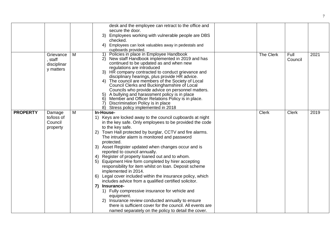|                 |                                                  |   | desk and the employee can retract to the office and                                                                                                                                                                                                                                                                                                                                                                                                                                                                                                                                                                                                                                                                                                                                                                                                                                                                                       |              |                 |      |
|-----------------|--------------------------------------------------|---|-------------------------------------------------------------------------------------------------------------------------------------------------------------------------------------------------------------------------------------------------------------------------------------------------------------------------------------------------------------------------------------------------------------------------------------------------------------------------------------------------------------------------------------------------------------------------------------------------------------------------------------------------------------------------------------------------------------------------------------------------------------------------------------------------------------------------------------------------------------------------------------------------------------------------------------------|--------------|-----------------|------|
|                 |                                                  |   | secure the door.                                                                                                                                                                                                                                                                                                                                                                                                                                                                                                                                                                                                                                                                                                                                                                                                                                                                                                                          |              |                 |      |
|                 |                                                  |   | Employees working with vulnerable people are DBS<br>3)<br>checked.                                                                                                                                                                                                                                                                                                                                                                                                                                                                                                                                                                                                                                                                                                                                                                                                                                                                        |              |                 |      |
|                 |                                                  |   | Employees can look valuables away in pedestals and<br>4)                                                                                                                                                                                                                                                                                                                                                                                                                                                                                                                                                                                                                                                                                                                                                                                                                                                                                  |              |                 |      |
|                 |                                                  |   | cupboards provided.                                                                                                                                                                                                                                                                                                                                                                                                                                                                                                                                                                                                                                                                                                                                                                                                                                                                                                                       |              |                 |      |
|                 | Grievance<br>, staff<br>disciplinar<br>y matters | M | Policies in place in Employee Handbook<br>1)<br>New staff Handbook implemented in 2019 and has<br>continued to be updated as and when new<br>regulations are introduced<br>3) HR company contracted to conduct grievance and<br>disciplinary hearings, plus provide HR advice.<br>The council are members of the Society of Local<br>4)<br>Council Clerks and Buckinghamshire of Local<br>Councils who provide advice on personnel matters.<br>5) A bullying and harassment policy is in place<br>Member and Officer Relations Policy is in place.<br>6)<br>Discrimination Policy is in place<br>7)<br>8)<br>Stress policy implemented in 2018                                                                                                                                                                                                                                                                                            | The Clerk    | Full<br>Council | 2021 |
| <b>PROPERTY</b> | Damage                                           | М | In-House-                                                                                                                                                                                                                                                                                                                                                                                                                                                                                                                                                                                                                                                                                                                                                                                                                                                                                                                                 | <b>Clerk</b> | <b>Clerk</b>    | 2019 |
|                 | to/loss of<br>Council<br>property                |   | 1) Keys are locked away to the council cupboards at night<br>in the key safe. Only employees to be provided the code<br>to the key safe.<br>Town Hall protected by burglar, CCTV and fire alarms.<br>2)<br>The intruder alarm is monitored and password<br>protected.<br>3) Asset Register updated when changes occur and is<br>reported to council annually.<br>4) Register of property loaned out and to whom.<br>5) Equipment Hire form completed by hirer accepting<br>responsibility for item whilst on loan. Deposit scheme<br>implemented in 2014.<br>6) Legal cover included within the insurance policy, which<br>includes advice from a qualified certified solicitor.<br>7) Insurance-<br>1) Fully compressive insurance for vehicle and<br>equipment.<br>2) Insurance review conducted annually to ensure<br>there is sufficient cover for the council. All events are<br>named separately on the policy to detail the cover. |              |                 |      |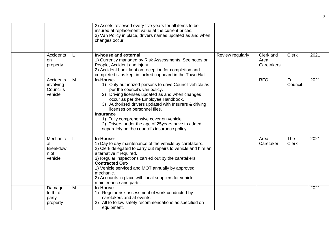|                                                       |   | 2) Assets reviewed every five years for all items to be<br>insured at replacement value at the current prices.<br>3) Van Policy in place, drivers names updated as and when<br>changes occur.                                                                                                                                                                                                                                                                 |                  |                                 |                     |      |
|-------------------------------------------------------|---|---------------------------------------------------------------------------------------------------------------------------------------------------------------------------------------------------------------------------------------------------------------------------------------------------------------------------------------------------------------------------------------------------------------------------------------------------------------|------------------|---------------------------------|---------------------|------|
| Accidents<br>on<br>property                           |   | In-house and external<br>1) Currently managed by Risk Assessments. See notes on<br>People, Accident and injury.<br>2) Accident book kept on reception for completion and<br>completed slips kept in locked cupboard in the Town Hall.                                                                                                                                                                                                                         | Review regularly | Clerk and<br>Area<br>Caretakers | <b>Clerk</b>        | 2021 |
| <b>Accidents</b><br>involving<br>Council's<br>vehicle | M | In-House-<br>1) Only authorized persons to drive Council vehicle as<br>per the council's van policy.<br>2) Driving licenses updated as and when changes<br>occur as per the Employee Handbook.<br>3) Authorised drivers updated with Insurers & driving<br>licenses on personnel files.<br><b>Insurance</b><br>1) Fully comprehensive cover on vehicle.<br>2) Drivers under the age of 25 years have to added<br>separately on the council's insurance policy |                  | <b>RFO</b>                      | Full<br>Council     | 2021 |
| Mechanic<br>al<br><b>Breakdow</b><br>n of<br>vehicle  | L | In-House-<br>1) Day to day maintenance of the vehicle by caretakers.<br>2) Clerk delegated to carry out repairs to vehicle and hire an<br>alternative if required.<br>3) Regular inspections carried out by the caretakers.<br><b>Contracted Out-</b><br>1) Vehicle serviced and MOT annually by approved<br>mechanic.<br>2) Accounts in place with local suppliers for vehicle<br>maintenance and parts.                                                     |                  | Area<br>Caretaker               | The<br><b>Clerk</b> | 2021 |
| Damage<br>to third<br>party<br>property               | M | <b>In-House</b><br>1) Regular risk assessment of work conducted by<br>caretakers and at events.<br>All to follow safety recommendations as specified on<br>2)<br>equipment.                                                                                                                                                                                                                                                                                   |                  |                                 |                     | 2021 |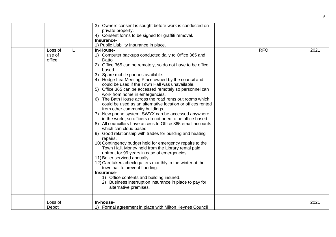|                             |   | 3) Owners consent is sought before work is conducted on                                                                                                                                                                                                                                                                                                                                                                                                                                                                                                                                                                                                                                                                                                                                                                                                                                                                                                                                                                                                                                                                                                                                                                                                                               |            |      |
|-----------------------------|---|---------------------------------------------------------------------------------------------------------------------------------------------------------------------------------------------------------------------------------------------------------------------------------------------------------------------------------------------------------------------------------------------------------------------------------------------------------------------------------------------------------------------------------------------------------------------------------------------------------------------------------------------------------------------------------------------------------------------------------------------------------------------------------------------------------------------------------------------------------------------------------------------------------------------------------------------------------------------------------------------------------------------------------------------------------------------------------------------------------------------------------------------------------------------------------------------------------------------------------------------------------------------------------------|------------|------|
|                             |   | private property.                                                                                                                                                                                                                                                                                                                                                                                                                                                                                                                                                                                                                                                                                                                                                                                                                                                                                                                                                                                                                                                                                                                                                                                                                                                                     |            |      |
|                             |   | 4) Consent forms to be signed for graffiti removal.                                                                                                                                                                                                                                                                                                                                                                                                                                                                                                                                                                                                                                                                                                                                                                                                                                                                                                                                                                                                                                                                                                                                                                                                                                   |            |      |
|                             |   | Insurance-                                                                                                                                                                                                                                                                                                                                                                                                                                                                                                                                                                                                                                                                                                                                                                                                                                                                                                                                                                                                                                                                                                                                                                                                                                                                            |            |      |
|                             |   | 1) Public Liability Insurance in place.                                                                                                                                                                                                                                                                                                                                                                                                                                                                                                                                                                                                                                                                                                                                                                                                                                                                                                                                                                                                                                                                                                                                                                                                                                               |            |      |
|                             |   | In-House-                                                                                                                                                                                                                                                                                                                                                                                                                                                                                                                                                                                                                                                                                                                                                                                                                                                                                                                                                                                                                                                                                                                                                                                                                                                                             |            |      |
| Loss of<br>use of<br>office | L | 1) Computer backups conducted daily to Office 365 and<br>Datto<br>Office 365 can be remotely, so do not have to be office<br>2)<br>based.<br>3) Spare mobile phones available.<br>4) Hodge Lea Meeting Place owned by the council and<br>could be used if the Town Hall was unavailable.<br>5) Office 365 can be accessed remotely so personnel can<br>work from home in emergencies.<br>6) The Bath House across the road rents out rooms which<br>could be used as an alternative location or offices rented<br>from other community buildings.<br>7) New phone system, SWYX can be accessed anywhere<br>in the world, so officers do not need to be office based.<br>8) All councillors have access to Office 365 email accounts<br>which can cloud based.<br>9) Good relationship with trades for building and heating<br>repairs.<br>10) Contingency budget held for emergency repairs to the<br>Town Hall. Money held from the Library rental paid<br>upfront for 99 years in case of emergencies.<br>11) Boiler serviced annually.<br>12) Caretakers check gutters monthly in the winter at the<br>town hall to prevent flooding.<br>Insurance-<br>1) Office contents and building insured.<br>2) Business interruption insurance in place to pay for<br>alternative premises. | <b>RFO</b> | 2021 |
|                             |   |                                                                                                                                                                                                                                                                                                                                                                                                                                                                                                                                                                                                                                                                                                                                                                                                                                                                                                                                                                                                                                                                                                                                                                                                                                                                                       |            |      |
| Loss of                     |   | In-house-                                                                                                                                                                                                                                                                                                                                                                                                                                                                                                                                                                                                                                                                                                                                                                                                                                                                                                                                                                                                                                                                                                                                                                                                                                                                             |            | 2021 |
| Depot                       |   | 1) Formal agreement in place with Milton Keynes Council                                                                                                                                                                                                                                                                                                                                                                                                                                                                                                                                                                                                                                                                                                                                                                                                                                                                                                                                                                                                                                                                                                                                                                                                                               |            |      |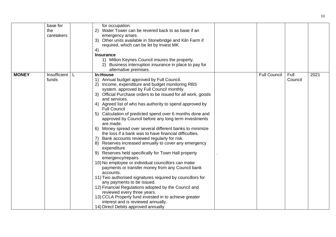|              | base for<br>the<br>caretakers | for occupation.<br>Water Tower can be revered back to as base if an<br>2)<br>emergency arises.<br>3) Other units available in Stonebridge and Kiln Farm if<br>required, which can be let by Invest MK.<br>4)<br><b>Insurance</b><br>1) Milton Keynes Council insures the property.                                                                                                                                                                                                                                                                                                                                                                                                                                                                                                                                                                                                                                                                                                                                                                                                                                                                                                                                                                 |                     |                 |      |
|--------------|-------------------------------|----------------------------------------------------------------------------------------------------------------------------------------------------------------------------------------------------------------------------------------------------------------------------------------------------------------------------------------------------------------------------------------------------------------------------------------------------------------------------------------------------------------------------------------------------------------------------------------------------------------------------------------------------------------------------------------------------------------------------------------------------------------------------------------------------------------------------------------------------------------------------------------------------------------------------------------------------------------------------------------------------------------------------------------------------------------------------------------------------------------------------------------------------------------------------------------------------------------------------------------------------|---------------------|-----------------|------|
|              |                               | Business interruption insurance in place to pay for<br>alternative premises.                                                                                                                                                                                                                                                                                                                                                                                                                                                                                                                                                                                                                                                                                                                                                                                                                                                                                                                                                                                                                                                                                                                                                                       |                     |                 |      |
| <b>MONEY</b> | Insufficient<br>funds         | <b>In-House</b><br>1) Annual budget approved by Full Council.<br>2) Income, expenditure and budget monitoring RBS<br>system, approved by Full Council monthly.<br>3) Official Purchase orders to be issued for all work, goods<br>and services.<br>4) Agreed list of who has authority to spend approved by<br><b>Full Council</b><br>5) Calculation of predicted spend over 6 months done and<br>approved by Council before any long term investments<br>are made.<br>6) Money spread over several different banks to minimize<br>the loss if a bank was to have financial difficulties.<br>Bank accounts reviewed regularly for risk.<br>7)<br>8) Reserves increased annually to cover any emergency<br>expenditure<br>9) Reserves held specifically for Town Hall property<br>emergency/repairs.<br>10) No employee or individual councillors can make<br>payments or transfer money from any Council bank<br>accounts.<br>11) Two authorised signatures required by councillors for<br>any payments to be issued.<br>12) Financial Regulations adopted by the Council and<br>reviewed every three years.<br>13) CCLA Property fund invested in to achieve greater<br>interest and is reviewed annually.<br>14) Direct Debits approved annually | <b>Full Council</b> | Full<br>Council | 2021 |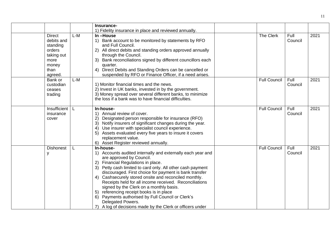|                                                                                                     |       | Insurance-                                                                                                                                                                                                                                                                                                                                                                                                                                                                                                                                                                                                          |                     |                 |      |
|-----------------------------------------------------------------------------------------------------|-------|---------------------------------------------------------------------------------------------------------------------------------------------------------------------------------------------------------------------------------------------------------------------------------------------------------------------------------------------------------------------------------------------------------------------------------------------------------------------------------------------------------------------------------------------------------------------------------------------------------------------|---------------------|-----------------|------|
|                                                                                                     |       | 1) Fidelity insurance in place and reviewed annually.                                                                                                                                                                                                                                                                                                                                                                                                                                                                                                                                                               |                     |                 |      |
| <b>Direct</b><br>debits and<br>standing<br>orders<br>taking out<br>more<br>money<br>than<br>agreed. | L-M   | In-House<br>1) Bank account to be monitored by statements by RFO<br>and Full Council.<br>2) All direct debits and standing orders approved annually<br>through the Council.<br>Bank reconciliations signed by different councillors each<br>3)<br>quarter.<br>Direct Debits and Standing Orders can be cancelled or<br>4)<br>suspended by RFO or Finance Officer, if a need arises.                                                                                                                                                                                                                                 | The Clerk           | Full<br>Council | 2021 |
| Bank or<br>custodian<br>ceases<br>trading                                                           | $L-M$ | 1) Monitor financial times and the news.<br>2) Invest in UK banks, invested in by the government.<br>3) Money spread over several different banks, to minimize<br>the loss if a bank was to have financial difficulties.                                                                                                                                                                                                                                                                                                                                                                                            | <b>Full Council</b> | Full<br>Council | 2021 |
| Insufficient<br>insurance<br>cover                                                                  |       | In-house-<br>1) Annual review of cover.<br>Designated person responsible for insurance (RFO)<br>2)<br>3) Notify insurers of significant changes during the year.<br>4) Use insurer with specialist council experience.<br>5) Assets evaluated every five years to insure it covers<br>replacement value.<br>6) Asset Register reviewed annually.                                                                                                                                                                                                                                                                    | <b>Full Council</b> | Full<br>Council | 2021 |
| <b>Dishonest</b><br>V                                                                               | L     | In-house-<br>1) Accounts audited internally and externally each year and<br>are approved by Council.<br>2) Financial Regulations in place.<br>3) Petty cash limited to card only. All other cash payment<br>discouraged. First choice for payment is bank transfer<br>4) Cashsecurely stored onsite and reconciled monthly.<br>Receipts held for all income received. Reconciliations<br>signed by the Clerk on a monthly basis.<br>5) referencing receipt books is in place<br>6) Payments authorised by Full Council or Clerk's<br>Delegated Powers.<br>7) A log of decisions made by the Clerk or officers under | <b>Full Council</b> | Full<br>Council | 2021 |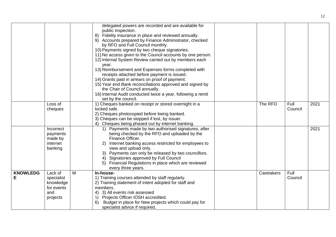|                 |            |   | delegated powers are recorded and are available for          |            |         |      |
|-----------------|------------|---|--------------------------------------------------------------|------------|---------|------|
|                 |            |   | public inspection.                                           |            |         |      |
|                 |            |   | Fidelity insurance in place and reviewed annually.<br>8)     |            |         |      |
|                 |            |   | 9) Accounts prepared by Finance Administrator, checked       |            |         |      |
|                 |            |   | by RFO and Full Council monthly.                             |            |         |      |
|                 |            |   | 10) Payments signed by two cheque signatories.               |            |         |      |
|                 |            |   | 11) No access given to the Council accounts by one person.   |            |         |      |
|                 |            |   | 12) Internal System Review carried out by members each       |            |         |      |
|                 |            |   | year.                                                        |            |         |      |
|                 |            |   | 13) Reimbursement and Expenses forms completed with          |            |         |      |
|                 |            |   | receipts attached before payment is issued.                  |            |         |      |
|                 |            |   | 14) Grants paid in arrears on proof of payment.              |            |         |      |
|                 |            |   | 15) Year end Bank reconciliations approved and signed by     |            |         |      |
|                 |            |   | the Chair of Council annually.                               |            |         |      |
|                 |            |   | 16) Internal Audit conducted twice a year, following a remit |            |         |      |
|                 |            |   | set by the council.                                          |            |         |      |
|                 | Loss of    |   | 1) Cheques banked on receipt or stored overnight in a        | The RFO    | Full    | 2021 |
|                 | cheques    |   | locked safe.                                                 |            | Council |      |
|                 |            |   | 2) Cheques photocopied before being banked.                  |            |         |      |
|                 |            |   | 3) Cheques can be stopped if lost, by issuer.                |            |         |      |
|                 |            |   | 4) Cheques being phased out by internet banking.             |            |         |      |
|                 | Incorrect  |   | 1) Payments made by two authorised signatures, after         |            |         | 2021 |
|                 | payments   |   | being checked by the RFO and uploaded by the                 |            |         |      |
|                 | made by    |   | Finance Officer.                                             |            |         |      |
|                 | internet   |   | Internet banking access restricted for employees to          |            |         |      |
|                 | banking    |   | view and upload only.                                        |            |         |      |
|                 |            |   | 3) Payments can only be released by two councillors.         |            |         |      |
|                 |            |   | 4) Signatories approved by Full Council                      |            |         |      |
|                 |            |   | Financial Regulations in place which are reviewed<br>5)      |            |         |      |
|                 |            |   | every three years.                                           |            |         |      |
| <b>KNOWLEDG</b> | Lack of    | M | In-house-                                                    | Caretakers | Full    |      |
| Е               | specialist |   | 1) Training courses attended by staff regularly.             |            | Council |      |
|                 | knowledge  |   | 2) Training statement of intent adopted for staff and        |            |         |      |
|                 | for events |   | members.                                                     |            |         |      |
|                 | and        |   | 4) 3) All events risk assessed                               |            |         |      |
|                 | projects   |   | 5) Projects Officer IOSH accredited.                         |            |         |      |
|                 |            |   | Budget in place for New projects which could pay for<br>6)   |            |         |      |
|                 |            |   | specialist advice if required.                               |            |         |      |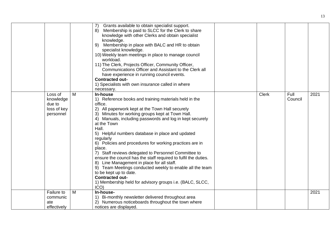|                                                            |   | Grants available to obtain specialist support.<br>7)<br>Membership is paid to SLCC for the Clerk to share<br>8)<br>knowledge with other Clerks and obtain specialist<br>knowledge.<br>Membership in place with BALC and HR to obtain<br>9)<br>specialist knowledge.<br>10) Weekly team meetings in place to manage council                                                                                                                                                                                                                                                                                                                                                                                                                                                    |              |                 |      |
|------------------------------------------------------------|---|-------------------------------------------------------------------------------------------------------------------------------------------------------------------------------------------------------------------------------------------------------------------------------------------------------------------------------------------------------------------------------------------------------------------------------------------------------------------------------------------------------------------------------------------------------------------------------------------------------------------------------------------------------------------------------------------------------------------------------------------------------------------------------|--------------|-----------------|------|
|                                                            |   | workload.<br>11) The Clerk, Projects Officer, Community Officer,<br>Communications Officer and Assistant to the Clerk all<br>have experience in running council events.<br><b>Contracted out-</b>                                                                                                                                                                                                                                                                                                                                                                                                                                                                                                                                                                             |              |                 |      |
|                                                            |   | 1) Specialists with own insurance called in where<br>necessary.                                                                                                                                                                                                                                                                                                                                                                                                                                                                                                                                                                                                                                                                                                               |              |                 |      |
| Loss of<br>knowledge<br>due to<br>loss of key<br>personnel | M | In-house<br>1) Reference books and training materials held in the<br>office.<br>2) All paperwork kept at the Town Hall securely<br>3) Minutes for working groups kept at Town Hall.<br>4) Manuals, including passwords and log in kept securely<br>at the Town<br>Hall.<br>5) Helpful numbers database in place and updated<br>regularly<br>6) Policies and procedures for working practices are in<br>place.<br>7) Staff reviews delegated to Personnel Committee to<br>ensure the council has the staff required to fulfil the duties.<br>8) Line Management in place for all staff.<br>9) Team Meetings conducted weekly to enable all the team<br>to be kept up to date.<br><b>Contracted out-</b><br>1) Membership held for advisory groups i.e. (BALC, SLCC,<br>$ICO$ ) | <b>Clerk</b> | Full<br>Council | 2021 |
| Failure to<br>communic<br>ate<br>effectively               | M | In-house-<br>1) Bi-monthly newsletter delivered throughout area<br>2) Numerous noticeboards throughout the town where<br>notices are displayed.                                                                                                                                                                                                                                                                                                                                                                                                                                                                                                                                                                                                                               |              |                 | 2021 |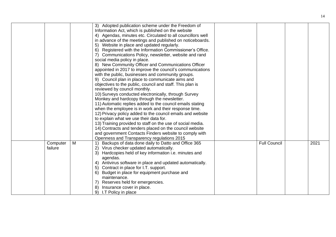|                     |   | 3) Adopted publication scheme under the Freedom of<br>Information Act, which is published on the website<br>4) Agendas, minutes etc. Circulated to all councillors well<br>in advance of the meetings and published on noticeboards.<br>5) Website in place and updated regularly.<br>6) Registered with the Information Commissioner's Office.<br>7) Communications Policy, newsletter, website and rand<br>social media policy in place.<br>8) New Community Officer and Communications Officer<br>appointed in 2017 to improve the council's communications<br>with the public, businesses and community groups.<br>9) Council plan in place to communicate aims and<br>objectives to the public, council and staff. This plan is<br>reviewed by council monthly.<br>10) Surveys conducted electronically, through Survey<br>Monkey and hardcopy through the newsletter.<br>11) Automatic replies added to the council emails stating<br>when the employee is in work and their response time.<br>12) Privacy policy added to the council emails and website<br>to explain what we use their data for.<br>13) Training provided to staff on the use of social media.<br>14) Contracts and tenders placed on the council website<br>and government Contacts Finders website to comply with |                     |      |
|---------------------|---|----------------------------------------------------------------------------------------------------------------------------------------------------------------------------------------------------------------------------------------------------------------------------------------------------------------------------------------------------------------------------------------------------------------------------------------------------------------------------------------------------------------------------------------------------------------------------------------------------------------------------------------------------------------------------------------------------------------------------------------------------------------------------------------------------------------------------------------------------------------------------------------------------------------------------------------------------------------------------------------------------------------------------------------------------------------------------------------------------------------------------------------------------------------------------------------------------------------------------------------------------------------------------------------------|---------------------|------|
|                     |   | Openness and Transparency regulations 2015                                                                                                                                                                                                                                                                                                                                                                                                                                                                                                                                                                                                                                                                                                                                                                                                                                                                                                                                                                                                                                                                                                                                                                                                                                                   |                     |      |
| Computer<br>failure | M | Backups of data done daily to Datto and Office 365<br>2)<br>Virus checker updated automatically.<br>Hardcopies held of key information i.e. minutes and<br>3)<br>agendas.<br>4) Antivirus software in place and updated automatically.<br>5) Contract in place for I.T. support.<br>6) Budget in place for equipment purchase and<br>maintenance.<br>7) Reserves held for emergencies.<br>8)<br>Insurance cover in place.<br>9) I.T Policy in place                                                                                                                                                                                                                                                                                                                                                                                                                                                                                                                                                                                                                                                                                                                                                                                                                                          | <b>Full Council</b> | 2021 |

14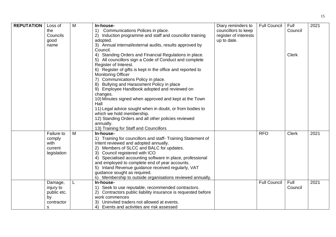| <b>REPUTATION</b> | Loss of     | M | In-house-                                                                          | Diary reminders to    | <b>Full Council</b> | Full         | 2021 |
|-------------------|-------------|---|------------------------------------------------------------------------------------|-----------------------|---------------------|--------------|------|
|                   | the         |   | Communications Polices in place.<br>$\left( \begin{matrix} 1 \end{matrix} \right)$ | councillors to keep   |                     | Council      |      |
|                   | Councils    |   | 2) Induction programme and staff and councillor training                           | register of interests |                     |              |      |
|                   | good        |   | adopted.                                                                           | up to date.           |                     |              |      |
|                   | name        |   | 3) Annual internal/external audits, results approved by                            |                       |                     |              |      |
|                   |             |   | Council.                                                                           |                       |                     |              |      |
|                   |             |   | 4) Standing Orders and Financial Regulations in place.                             |                       |                     | <b>Clerk</b> |      |
|                   |             |   | 5) All councillors sign a Code of Conduct and complete                             |                       |                     |              |      |
|                   |             |   | Register of Interest.                                                              |                       |                     |              |      |
|                   |             |   | 6) Register of gifts is kept in the office and reported to                         |                       |                     |              |      |
|                   |             |   | <b>Monitoring Officer</b>                                                          |                       |                     |              |      |
|                   |             |   | 7) Communications Policy in place.                                                 |                       |                     |              |      |
|                   |             |   | 8) Bullying and Harassment Policy in place                                         |                       |                     |              |      |
|                   |             |   |                                                                                    |                       |                     |              |      |
|                   |             |   | 9) Employee Handbook adopted and reviewed on                                       |                       |                     |              |      |
|                   |             |   | changes.                                                                           |                       |                     |              |      |
|                   |             |   | 10) Minutes signed when approved and kept at the Town                              |                       |                     |              |      |
|                   |             |   | Hall                                                                               |                       |                     |              |      |
|                   |             |   | 11) Legal advice sought when in doubt, or from bodies to                           |                       |                     |              |      |
|                   |             |   | which we hold membership.                                                          |                       |                     |              |      |
|                   |             |   | 12) Standing Orders and all other policies reviewed                                |                       |                     |              |      |
|                   |             |   | annually.                                                                          |                       |                     |              |      |
|                   |             |   | 13) Training for Staff and Councillors                                             |                       |                     |              |      |
|                   | Failure to  | M | In-house-                                                                          |                       | <b>RFO</b>          | <b>Clerk</b> | 2021 |
|                   | comply      |   | 1) Training for councillors and staff- Training Statement of                       |                       |                     |              |      |
|                   | with        |   | Intent reviewed and adopted annually.                                              |                       |                     |              |      |
|                   | current     |   | Members of SLCC and BALC for updates.<br>2)                                        |                       |                     |              |      |
|                   | legislation |   | 3) Council registered with ICO                                                     |                       |                     |              |      |
|                   |             |   | 4) Specialised accounting software in place, professional                          |                       |                     |              |      |
|                   |             |   | and employed to complete end of year accounts.                                     |                       |                     |              |      |
|                   |             |   | 5) Inland Revenue guidance received regularly, VAT                                 |                       |                     |              |      |
|                   |             |   | guidance sought as required.                                                       |                       |                     |              |      |
|                   |             |   | Membership to outside organisations reviewed annually.<br>6)                       |                       |                     |              |      |
|                   | Damage,     |   | In-house-                                                                          |                       | <b>Full Council</b> | Full         | 2021 |
|                   | injury to   |   | 1) Seek to use reputable, recommended contractors.                                 |                       |                     | Council      |      |
|                   | public etc. |   | 2) Contractors public liability insurance is requested before                      |                       |                     |              |      |
|                   | by          |   | work commences                                                                     |                       |                     |              |      |
|                   | contractor  |   | Uninvited traders not allowed at events.<br>3)                                     |                       |                     |              |      |
|                   |             |   |                                                                                    |                       |                     |              |      |
|                   | s           |   | 4) Events and activities are risk assessed                                         |                       |                     |              |      |

15